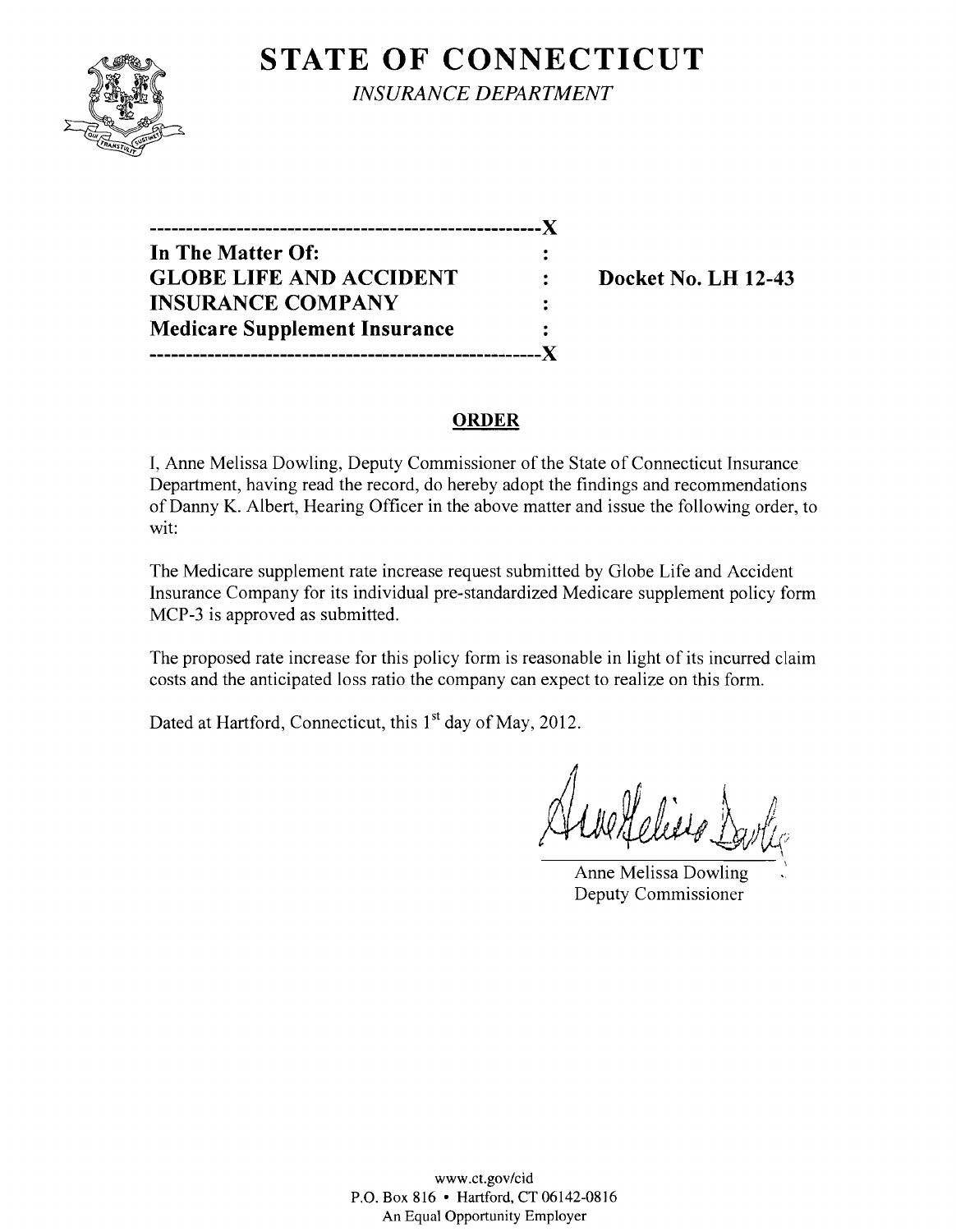## **STATE OF CONNECTICUT**



*INSURANCE DEPARTMENT* 

**------------------------------------------------------)( In The Matter Of:**  GLOBE LIFE AND ACCIDENT : Docket No. LH 12-43 **INSURANCE COMPANY Medicare Supplement Insurance ------------------------------------------------------)(** 

#### **ORDER**

I, Anne Melissa Dowling, Deputy Commissioner of the State of Connecticut Insurance Department, having read the record, do hereby adopt the findings and recommendations of Danny K. Albert, Hearing Officer in the above matter and issue the following order, to wit:

The Medicare supplement rate increase request submitted by Globe Life and Accident Insurance Company for its individual pre-standardized Medicare supplement policy form MCP-3 is approved as submitted.

The proposed rate increase for this policy form is reasonable in light of its incurred claim costs and the anticipated loss ratio the company can expect to realize on this form.

Dated at Hartford, Connecticut, this 1<sup>st</sup> day of May, 2012.

 $H$ eliste j

Anne Melissa Dowling Deputy Commissioner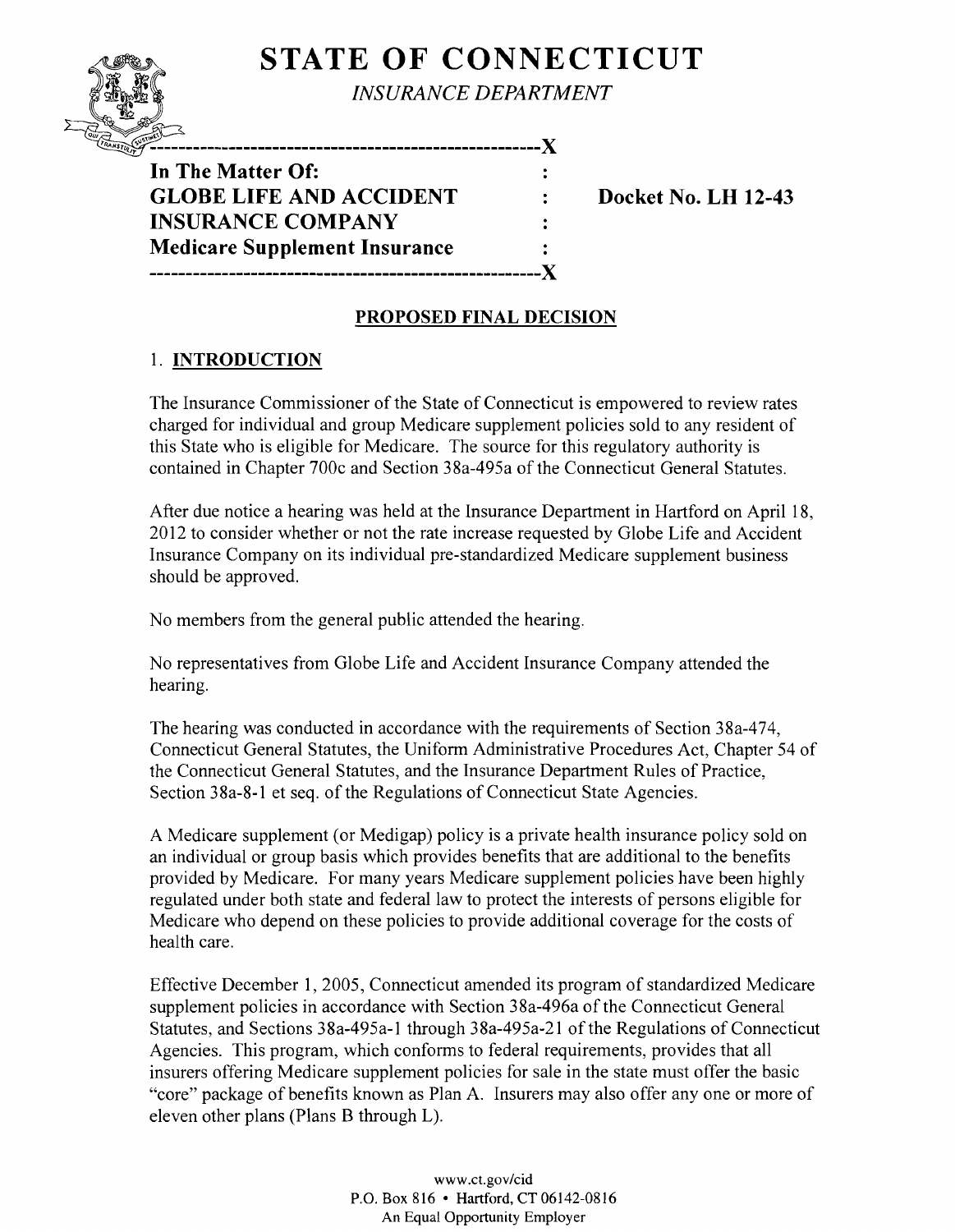# **STATE OF CONNECTICUT**

**INSURANCE DEPARTMENT** 

**In The Matter Of: GLOBE LIFE AND ACCIDENT : Docket No. LH 12-43 INSURANCE COMPANY Medicare Supplement Insurance ------------------------------------------------------)(** 

## **PROPOSED FINAL DECISION**

 $\ddot{\cdot}$  $\mathbf{r}$ 

## 1. **INTRODUCTION**

The Insurance Commissioner of the State of Connecticut is empowered to review rates charged for individual and group Medicare supplement policies sold to any resident of this State who is eligible for Medicare. The source for this regulatory authority is contained in Chapter 700c and Section 38a-495a of the Connecticut General Statutes.

After due notice a hearing was held at the Insurance Department in Hartford on April 18, 2012 to consider whether or not the rate increase requested by Globe Life and Accident Insurance Company on its individual pre-standardized Medicare supplement business should be approved.

No members from the general public attended the hearing.

No representatives from Globe Life and Accident Insurance Company attended the hearing.

The hearing was conducted in accordance with the requirements of Section 38a-474, Connecticut General Statutes, the Uniform Administrative Procedures Act, Chapter 54 of the Connecticut General Statutes, and the Insurance Department Rules of Practice, Section 38a-8-1 et seq. of the Regulations of Connecticut State Agencies.

A Medicare supplement (or Medigap) policy is a private health insurance policy sold on an individual or group basis which provides benefits that are additional to the benefits provided by Medicare. For many years Medicare supplement policies have been highly regulated under both state and federal law to protect the interests of persons eligible for Medicare who depend on these policies to provide additional coverage for the costs of health care.

Effective December 1,2005, Connecticut amended its program of standardized Medicare supplement policies in accordance with Section 38a-496a of the Connecticut General Statutes, and Sections 38a-495a-1 through 38a-495a-21 of the Regulations of Connecticut Agencies. This program, which conforms to federal requirements, provides that all insurers offering Medicare supplement policies for sale in the state must offer the basic "core" package of benefits known as Plan A. Insurers may also offer anyone or more of eleven other plans (Plans B through L).

> www.ct.gov/cid P.O. Box 816 • Hartford, CT 06142-0816 An Equal Opportunity Employer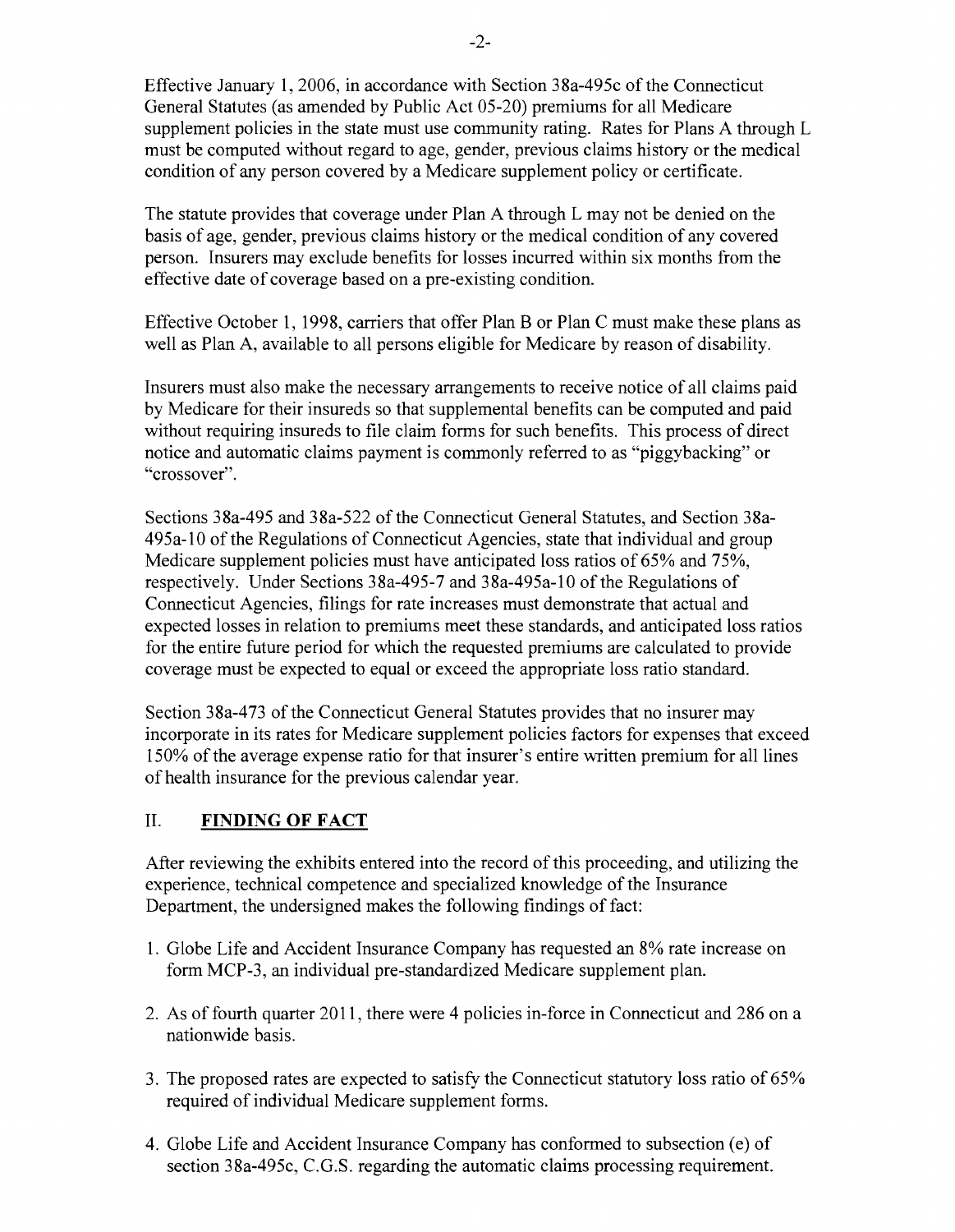Effective January 1,2006, in accordance with Section 38a-495c of the Connecticut General Statutes (as amended by Public Act 05-20) premiums for all Medicare supplement policies in the state must use community rating. Rates for Plans A through L must be computed without regard to age, gender, previous claims history or the medical condition of any person covered by a Medicare supplement policy or certificate.

The statute provides that coverage under Plan A through L may not be denied on the basis of age, gender, previous claims history or the medical condition of any covered person. Insurers may exclude benefits for losses incurred within six months from the effective date of coverage based on a pre-existing condition.

Effective October 1, 1998, carriers that offer Plan B or Plan C must make these plans as well as Plan A, available to all persons eligible for Medicare by reason of disability.

Insurers must also make the necessary arrangements to receive notice of all claims paid by Medicare for their insureds so that supplemental benefits can be computed and paid without requiring insureds to file claim forms for such benefits. This process of direct notice and automatic claims payment is commonly referred to as "piggybacking" or "crossover".

Sections 38a-495 and 38a-522 of the Connecticut General Statutes, and Section 38a-495a-10 of the Regulations of Connecticut Agencies, state that individual and group Medicare supplement policies must have anticipated loss ratios of 65% and 75%, respectively. Under Sections 38a-495-7 and 38a-495a-10 of the Regulations of Connecticut Agencies, filings for rate increases must demonstrate that actual and expected losses in relation to premiums meet these standards, and anticipated loss ratios for the entire future period for which the requested premiums are calculated to provide coverage must be expected to equal or exceed the appropriate loss ratio standard.

Section 38a-473 of the Connecticut General Statutes provides that no insurer may incorporate in its rates for Medicare supplement policies factors for expenses that exceed 150% of the average expense ratio for that insurer's entire written premium for all lines of health insurance for the previous calendar year.

### II. **FINDING OF FACT**

After reviewing the exhibits entered into the record of this proceeding, and utilizing the experience, technical competence and specialized knowledge of the Insurance Department, the undersigned makes the following findings of fact:

- 1. Globe Life and Accident Insurance Company has requested an 8% rate increase on form MCP-3, an individual pre-standardized Medicare supplement plan.
- 2. As of fourth quarter 2011, there were 4 policies in-force in Connecticut and 286 on a nationwide basis.
- 3. The proposed rates are expected to satisfy the Connecticut statutory loss ratio of 65% required of individual Medicare supplement forms.
- 4. Globe Life and Accident Insurance Company has conformed to subsection (e) of section 38a-495c, C.G.S. regarding the automatic claims processing requirement.